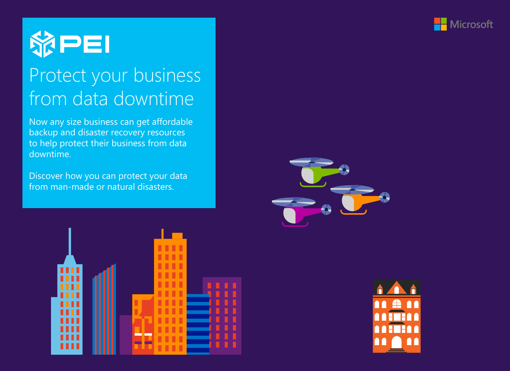



# Protect your business from data downtime

Now any size business can get affordable backup and disaster recovery resources to help protect their business from data downtime.

Discover how you can protect your data from man-made or natural disasters.





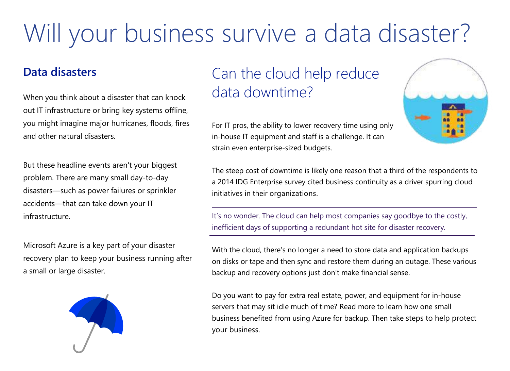# Will your business survive a data disaster?

### **Data disasters**

When you think about a disaster that can knock out IT infrastructure or bring key systems offline, you might imagine major hurricanes, floods, fires and other natural disasters.

But these headline events aren't your biggest problem. There are many small day-to-day disasters—such as power failures or sprinkler accidents—that can take down your IT infrastructure.

Microsoft Azure is a key part of your disaster recovery plan to keep your business running after a small or large disaster.



# Can the cloud help reduce data downtime?

For IT pros, the ability to lower recovery time using only in-house IT equipment and staff is a challenge. It can strain even enterprise-sized budgets.

The steep cost of downtime is likely one reason that a third of the respondents to a 2014 IDG Enterprise survey cited business continuity as a driver spurring cloud initiatives in their organizations.

It's no wonder. The cloud can help most companies say goodbye to the costly, inefficient days of supporting a redundant hot site for disaster recovery.

With the cloud, there's no longer a need to store data and application backups on disks or tape and then sync and restore them during an outage. These various backup and recovery options just don't make financial sense.

Do you want to pay for extra real estate, power, and equipment for in-house servers that may sit idle much of time? Read more to learn how one small business benefited from using Azure for backup. Then take steps to help protect your business.

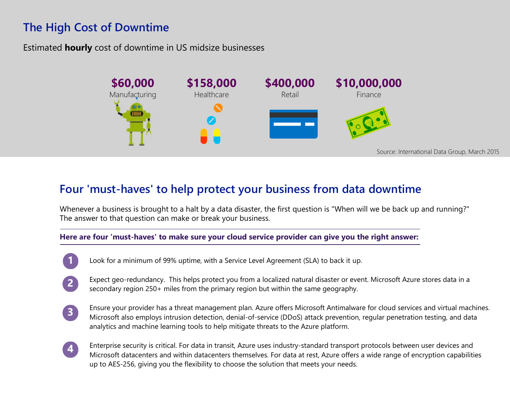## **The High Cost of Downtime**

Estimated **hourly** cost of downtime in US midsize businesses



### **Four 'must-haves' to help protect your business from data downtime**

Whenever a business is brought to a halt by a data disaster, the first question is "When will we be back up and running?" The answer to that question can make or break your business.

#### **Here are four 'must-haves' to make sure your cloud service provider can give you the right answer:**

- Look for a minimum of 99% uptime, with a Service Level Agreement (SLA) to back it up.
- Expect geo-redundancy. This helps protect you from a localized natural disaster or event. Microsoft Azure stores data in a  $\boxed{2}$ secondary region 250+ miles from the primary region but within the same geography.
- Ensure your provider has a threat management plan. Azure offers Microsoft Antimalware for cloud services and virtual machines.  $\left( 3 \right)$ Microsoft also employs intrusion detection, denial-of-service (DDoS) attack prevention, regular penetration testing, and data analytics and machine learning tools to help mitigate threats to the Azure platform.
- Enterprise security is critical. For data in transit, Azure uses industry-standard transport protocols between user devices and  $\vert \bm{A} \vert$ Microsoft datacenters and within datacenters themselves. For data at rest, Azure offers a wide range of encryption capabilities up to AES-256, giving you the flexibility to choose the solution that meets your needs.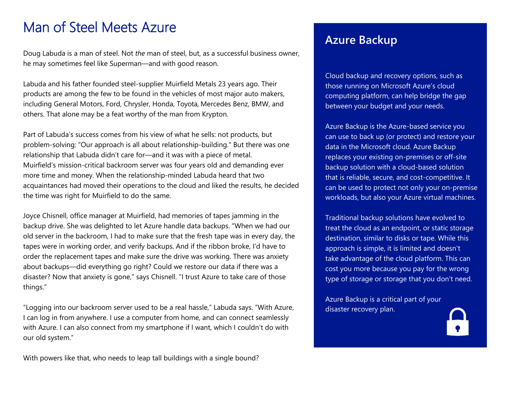# Man of Steel Meets Azure

Doug Labuda is a man of steel. Not *the* man of steel, but, as a successful business owner, he may sometimes feel like Superman—and with good reason.

Labuda and his father founded steel-supplier Muirfield Metals 23 years ago. Their products are among the few to be found in the vehicles of most major auto makers, including General Motors, Ford, Chrysler, Honda, Toyota, Mercedes Benz, BMW, and others. That alone may be a feat worthy of the man from Krypton.

Part of Labuda's success comes from his view of what he sells: not products, but problem-solving: "Our approach is all about relationship-building." But there was one relationship that Labuda didn't care for—and it was with a piece of metal. Muirfield's mission-critical backroom server was four years old and demanding ever more time and money. When the relationship-minded Labuda heard that two acquaintances had moved their operations to the cloud and liked the results, he decided the time was right for Muirfield to do the same.

Joyce Chisnell, office manager at Muirfield, had memories of tapes jamming in the backup drive. She was delighted to let Azure handle data backups. "When we had our old server in the backroom, I had to make sure that the fresh tape was in every day, the tapes were in working order, and verify backups. And if the ribbon broke, I'd have to order the replacement tapes and make sure the drive was working. There was anxiety about backups—did everything go right? Could we restore our data if there was a disaster? Now that anxiety is gone," says Chisnell. "I trust Azure to take care of those things."

"Logging into our backroom server used to be a real hassle," Labuda says. "With Azure, I can log in from anywhere. I use a computer from home, and can connect seamlessly with Azure. I can also connect from my smartphone if I want, which I couldn't do with our old system."

With powers like that, who needs to leap tall buildings with a single bound?

### **Azure Backup**

Cloud backup and recovery options, such as those running on Microsoft Azure's cloud computing platform, can help bridge the gap between your budget and your needs.

Azure Backup is the Azure-based service you can use to back up (or protect) and restore your data in the Microsoft cloud. Azure Backup replaces your existing on-premises or off-site backup solution with a cloud-based solution that is reliable, secure, and cost-competitive. It can be used to protect not only your on-premise workloads, but also your Azure virtual machines.

Traditional backup solutions have evolved to treat the cloud as an endpoint, or static storage destination, similar to disks or tape. While this approach is simple, it is limited and doesn't take advantage of the cloud platform. This can cost you more because you pay for the wrong type of storage or storage that you don't need.

Azure Backup is a critical part of your disaster recovery plan.